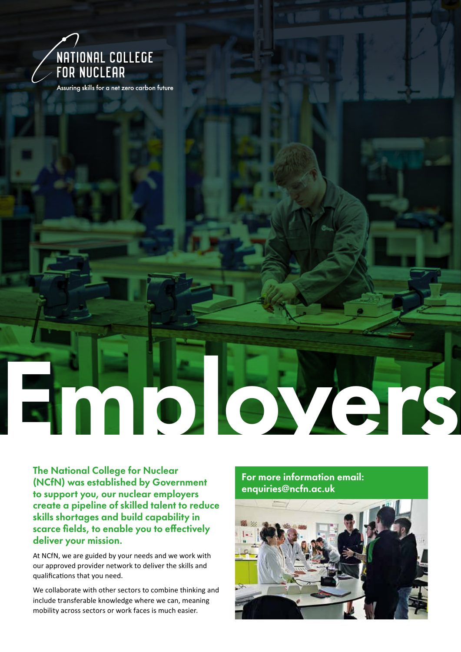

Assuring skills for a net zero carbon future

The National College for Nuclear (NCfN) was established by Government to support you, our nuclear employers create a pipeline of skilled talent to reduce skills shortages and build capability in scarce fields, to enable you to effectively deliver your mission.

At NCfN, we are guided by your needs and we work with our approved provider network to deliver the skills and qualifications that you need.

We collaborate with other sectors to combine thinking and include transferable knowledge where we can, meaning mobility across sectors or work faces is much easier.

For more information email: enquiries@ncfn.ac.uk

Employers